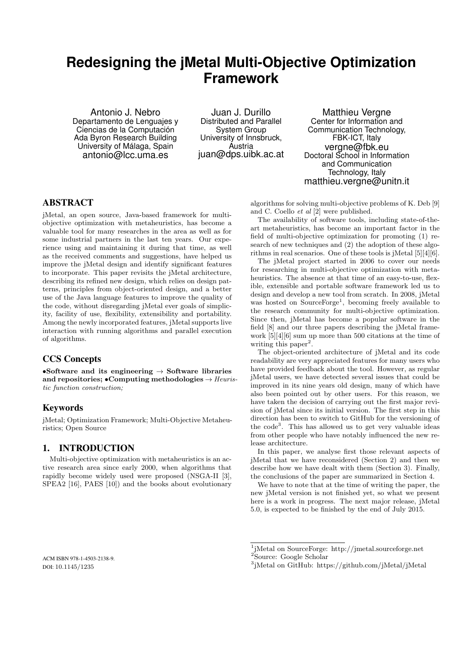# **Redesigning the jMetal Multi-Objective Optimization Framework**

Antonio J. Nebro Departamento de Lenguajes y Ciencias de la Computación Ada Byron Research Building University of Málaga, Spain antonio@lcc.uma.es

Juan J. Durillo Distributed and Parallel System Group University of Innsbruck, Austria juan@dps.uibk.ac.at

Matthieu Vergne Center for Information and Communication Technology, FBK-ICT, Italy vergne@fbk.eu Doctoral School in Information and Communication Technology, Italy matthieu.vergne@unitn.it

# ABSTRACT

jMetal, an open source, Java-based framework for multiobjective optimization with metaheuristics, has become a valuable tool for many researches in the area as well as for some industrial partners in the last ten years. Our experience using and maintaining it during that time, as well as the received comments and suggestions, have helped us improve the jMetal design and identify significant features to incorporate. This paper revisits the jMetal architecture, describing its refined new design, which relies on design patterns, principles from object-oriented design, and a better use of the Java language features to improve the quality of the code, without disregarding jMetal ever goals of simplicity, facility of use, flexibility, extensibility and portability. Among the newly incorporated features, jMetal supports live interaction with running algorithms and parallel execution of algorithms.

# CCS Concepts

•Software and its engineering  $\rightarrow$  Software libraries and repositories; •Computing methodologies  $\rightarrow$  Heuristic function construction;

## Keywords

jMetal; Optimization Framework; Multi-Objective Metaheuristics; Open Source

# 1. INTRODUCTION

Multi-objective optimization with metaheuristics is an active research area since early 2000, when algorithms that rapidly become widely used were proposed (NSGA-II [3], SPEA2 [16], PAES [10]) and the books about evolutionary

algorithms for solving multi-objective problems of K. Deb [9] and C. Coello et al [2] were published.

The availability of software tools, including state-of-theart metaheuristics, has become an important factor in the field of multi-objective optimization for promoting (1) research of new techniques and (2) the adoption of these algorithms in real scenarios. One of these tools is jMetal [5][4][6].

The jMetal project started in 2006 to cover our needs for researching in multi-objective optimization with metaheuristics. The absence at that time of an easy-to-use, flexible, extensible and portable software framework led us to design and develop a new tool from scratch. In 2008, jMetal was hosted on SourceForge<sup>1</sup>, becoming freely available to the research community for multi-objective optimization. Since then, jMetal has become a popular software in the field [8] and our three papers describing the jMetal framework [5][4][6] sum up more than 500 citations at the time of writing this paper<sup>2</sup>.

The object-oriented architecture of jMetal and its code readability are very appreciated features for many users who have provided feedback about the tool. However, as regular jMetal users, we have detected several issues that could be improved in its nine years old design, many of which have also been pointed out by other users. For this reason, we have taken the decision of carrying out the first major revision of jMetal since its initial version. The first step in this direction has been to switch to GitHub for the versioning of the code<sup>3</sup>. This has allowed us to get very valuable ideas from other people who have notably influenced the new release architecture.

In this paper, we analyse first those relevant aspects of jMetal that we have reconsidered (Section 2) and then we describe how we have dealt with them (Section 3). Finally, the conclusions of the paper are summarized in Section 4.

We have to note that at the time of writing the paper, the new jMetal version is not finished yet, so what we present here is a work in progress. The next major release, jMetal 5.0, is expected to be finished by the end of July 2015.

1 jMetal on SourceForge: http://jmetal.sourceforge.net

<sup>2</sup>Source: Google Scholar

ACM ISBN 978-1-4503-2138-9. DOI: 10.1145/1235

<sup>3</sup> jMetal on GitHub: https://github.com/jMetal/jMetal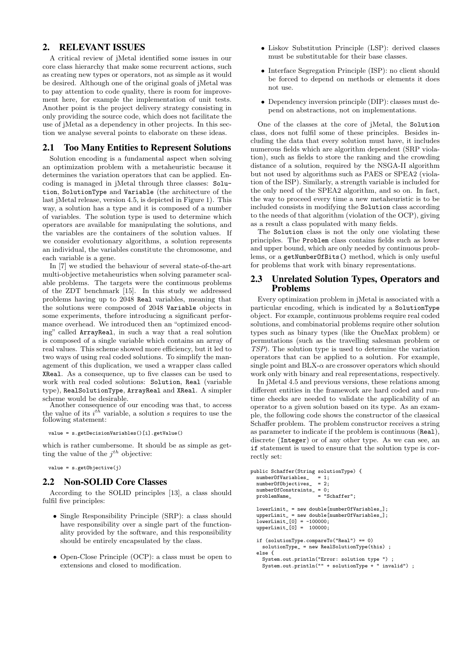# 2. RELEVANT ISSUES

A critical review of jMetal identified some issues in our core class hierarchy that make some recurrent actions, such as creating new types or operators, not as simple as it would be desired. Although one of the original goals of jMetal was to pay attention to code quality, there is room for improvement here, for example the implementation of unit tests. Another point is the project delivery strategy consisting in only providing the source code, which does not facilitate the use of jMetal as a dependency in other projects. In this section we analyse several points to elaborate on these ideas.

#### 2.1 Too Many Entities to Represent Solutions

Solution encoding is a fundamental aspect when solving an optimization problem with a metaheuristic because it determines the variation operators that can be applied. Encoding is managed in jMetal through three classes: Solution, SolutionType and Variable (the architecture of the last jMetal release, version 4.5, is depicted in Figure 1). This way, a solution has a type and it is composed of a number of variables. The solution type is used to determine which operators are available for manipulating the solutions, and the variables are the containers of the solution values. If we consider evolutionary algorithms, a solution represents an individual, the variables constitute the chromosome, and each variable is a gene.

In [7] we studied the behaviour of several state-of-the-art multi-objective metaheuristics when solving parameter scalable problems. The targets were the continuous problems of the ZDT benchmark [15]. In this study we addressed problems having up to 2048 Real variables, meaning that the solutions were composed of 2048 Variable objects in some experiments, thefore introducing a significant performance overhead. We introduced then an "optimized encoding" called ArrayReal, in such a way that a real solution is composed of a single variable which contains an array of real values. This scheme showed more efficiency, but it led to two ways of using real coded solutions. To simplify the management of this duplication, we used a wrapper class called XReal. As a consequence, up to five classes can be used to work with real coded solutions: Solution, Real (variable type), RealSolutionType, ArrayReal and XReal. A simpler scheme would be desirable.

Another consequence of our encoding was that, to access the value of its  $i^{th}$  variable, a solution s requires to use the following statement:

value = s.getDecisionVariables()[i].getValue()

which is rather cumbersome. It should be as simple as getting the value of the  $j^{th}$  objective:

 $value = s.getObjective(i)$ 

#### 2.2 Non-SOLID Core Classes

According to the SOLID principles [13], a class should fulfil five principles:

- Single Responsibility Principle (SRP): a class should have responsibility over a single part of the functionality provided by the software, and this responsibility should be entirely encapsulated by the class.
- Open-Close Principle (OCP): a class must be open to extensions and closed to modification.
- Liskov Substitution Principle (LSP): derived classes must be substitutable for their base classes.
- Interface Segregation Principle (ISP): no client should be forced to depend on methods or elements it does not use.
- Dependency inversion principle (DIP): classes must depend on abstractions, not on implementations.

One of the classes at the core of jMetal, the Solution class, does not fulfil some of these principles. Besides including the data that every solution must have, it includes numerous fields which are algorithm dependent (SRP violation), such as fields to store the ranking and the crowding distance of a solution, required by the NSGA-II algorithm but not used by algorithms such as PAES or SPEA2 (violation of the ISP). Similarly, a strength variable is included for the only need of the SPEA2 algorithm, and so on. In fact, the way to proceed every time a new metaheuristic is to be included consists in modifying the Solution class according to the needs of that algorithm (violation of the OCP), giving as a result a class populated with many fields.

The Solution class is not the only one violating these principles. The Problem class contains fields such as lower and upper bound, which are only needed by continuous problems, or a getNumberOfBits() method, which is only useful for problems that work with binary representations.

#### 2.3 Unrelated Solution Types, Operators and Problems

Every optimization problem in jMetal is associated with a particular encoding, which is indicated by a SolutionType object. For example, continuous problems require real coded solutions, and combinatorial problems require other solution types such as binary types (like the OneMax problem) or permutations (such as the travelling salesman problem or TSP). The solution type is used to determine the variation operators that can be applied to a solution. For example, single point and BLX- $\alpha$  are crossover operators which should work only with binary and real representations, respectively.

In jMetal 4.5 and previous versions, these relations among different entities in the framework are hard coded and runtime checks are needed to validate the applicability of an operator to a given solution based on its type. As an example, the following code shows the constructor of the classical Schaffer problem. The problem constructor receives a string as parameter to indicate if the problem is continuous (Real), discrete (Integer) or of any other type. As we can see, an if statement is used to ensure that the solution type is correctly set:

```
public Schaffer(String solutionType) {<br>numberOfVariables_ = 1;
    numberOfVariables_ = 1;<br>
numberOfObjectives_ = 2;numberOfObjectives_ = 2;<br>numberOfConstraints_ = 0;
     numberOfConstraints_ = 0;<br>problemName = "Schafter":problemName_
    lowerLimit_ = new double[numberOfVariables_];
    upperLimit_ = new double[numberOfVariables_];
     up<sup>1</sup> \nu<sup>1</sup> \mu<sup>1</sup> \sigma<sup>1</sup> \sigma<sup>1</sup> \sigma<sup>1</sup> \sigma<sup>3</sup> \sigma<sup>3</sup> \sigma<sup>3</sup> \sigma<sup>3</sup> \sigma<sup>3</sup> \sigma<sup>3</sup> \sigma<sup>3</sup> \sigma<sup>3</sup> \sigma<sup>3</sup> \sigma<sup>3</sup> \sigma<sup>3</sup> \sigma<sup>3</sup> \sigma<sup>3</sup> \sigma<sup>3</sup> \sigma<sup>3</sup> \sigma<sup>3</sup> \sigma<sup>3</sup> \sigma<sup>3</sup> \sigma<sup>3</sup> \sigma<sup>3</sup> \sigma<sup>3</sup> \sigma<sup>3</sup>
     upperLimit_[0] = 100000;
     if (solutionType.compareTo("Real") == 0)
         solutionType_ = new RealSolutionType(this) ;
     else {
         System.out.println("Error: solution type ") ;
         System.out.println("" + solutionType + " invalid") ;
```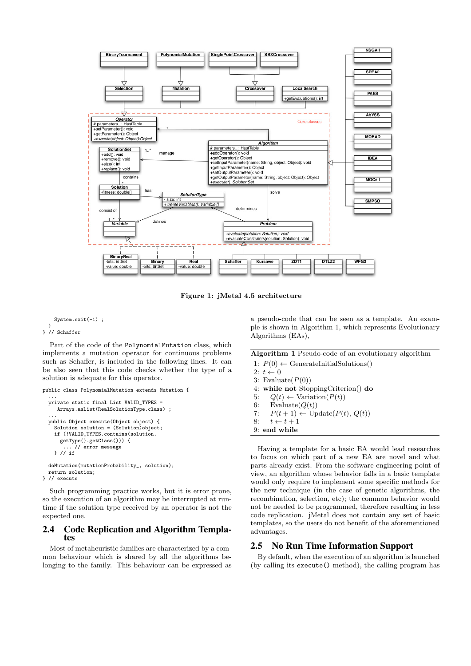

Figure 1: jMetal 4.5 architecture

# System.exit(-1) ; } } // Schaffer

Part of the code of the PolynomialMutation class, which implements a mutation operator for continuous problems such as Schaffer, is included in the following lines. It can be also seen that this code checks whether the type of a solution is adequate for this operator.

```
public class PolynomialMutation extends Mutation {
  ...
private static final List VALID_TYPES =
     Arrays.asList(RealSolutionType.class) ;
  ...
public Object execute(Object object) {
    Solution solution = (Solution)object;
    if (!VALID_TYPES.contains(solution.
      getType().getClass())) {
       ... // error message
    } // if
  doMutation(mutationProbability_, solution);
  return solution;
```
} // execute

Such programming practice works, but it is error prone, so the execution of an algorithm may be interrupted at runtime if the solution type received by an operator is not the expected one.

#### 2.4 Code Replication and Algorithm Templates

Most of metaheuristic families are characterized by a common behaviour which is shared by all the algorithms belonging to the family. This behaviour can be expressed as a pseudo-code that can be seen as a template. An example is shown in Algorithm 1, which represents Evolutionary Algorithms (EAs),

|  | Algorithm 1 Pseudo-code of an evolutionary algorithm |  |  |  |
|--|------------------------------------------------------|--|--|--|
|  |                                                      |  |  |  |

| 1: $P(0) \leftarrow$ GenerateInitialSolutions()  |
|--------------------------------------------------|
| 2: $t \leftarrow 0$                              |
| 3: Evaluate $(P(0))$                             |
| 4: while not StoppingCriterion() do              |
| 5: $Q(t) \leftarrow \text{Variation}(P(t))$      |
| 6: Evaluate $(Q(t))$                             |
| 7: $P(t+1) \leftarrow \text{Update}(P(t), Q(t))$ |
| 8: $t \leftarrow t + 1$                          |
| 9: end while                                     |

Having a template for a basic EA would lead researches to focus on which part of a new EA are novel and what parts already exist. From the software engineering point of view, an algorithm whose behavior falls in a basic template would only require to implement some specific methods for the new technique (in the case of genetic algorithms, the recombination, selection, etc); the common behavior would not be needed to be programmed, therefore resulting in less code replication. jMetal does not contain any set of basic templates, so the users do not benefit of the aforementioned advantages.

## 2.5 No Run Time Information Support

By default, when the execution of an algorithm is launched (by calling its execute() method), the calling program has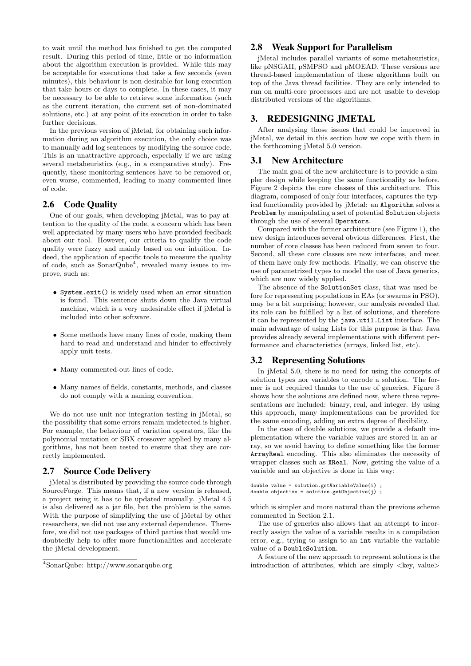to wait until the method has finished to get the computed result. During this period of time, little or no information about the algorithm execution is provided. While this may be acceptable for executions that take a few seconds (even minutes), this behaviour is non-desirable for long execution that take hours or days to complete. In these cases, it may be necessary to be able to retrieve some information (such as the current iteration, the current set of non-dominated solutions, etc.) at any point of its execution in order to take further decisions.

In the previous version of jMetal, for obtaining such information during an algorithm execution, the only choice was to manually add log sentences by modifying the source code. This is an unattractive approach, especially if we are using several metaheuristics (e.g., in a comparative study). Frequently, these monitoring sentences have to be removed or, even worse, commented, leading to many commented lines of code.

# 2.6 Code Quality

One of our goals, when developing jMetal, was to pay attention to the quality of the code, a concern which has been well appreciated by many users who have provided feedback about our tool. However, our criteria to qualify the code quality were fuzzy and mainly based on our intuition. Indeed, the application of specific tools to measure the quality of code, such as SonarQube<sup>4</sup> , revealed many issues to improve, such as:

- System.exit() is widely used when an error situation is found. This sentence shuts down the Java virtual machine, which is a very undesirable effect if jMetal is included into other software.
- Some methods have many lines of code, making them hard to read and understand and hinder to effectively apply unit tests.
- Many commented-out lines of code.
- Many names of fields, constants, methods, and classes do not comply with a naming convention.

We do not use unit nor integration testing in jMetal, so the possibility that some errors remain undetected is higher. For example, the behaviour of variation operators, like the polynomial mutation or SBX crossover applied by many algorithms, has not been tested to ensure that they are correctly implemented.

## 2.7 Source Code Delivery

jMetal is distributed by providing the source code through SourceForge. This means that, if a new version is released. a project using it has to be updated manually. jMetal 4.5 is also delivered as a jar file, but the problem is the same. With the purpose of simplifying the use of jMetal by other researchers, we did not use any external dependence. Therefore, we did not use packages of third parties that would undoubtedly help to offer more functionalities and accelerate the jMetal development.

## 2.8 Weak Support for Parallelism

jMetal includes parallel variants of some metaheuristics, like pNSGAII, pSMPSO and pMOEAD. These versions are thread-based implementation of these algorithms built on top of the Java thread facilities. They are only intended to run on multi-core processors and are not usable to develop distributed versions of the algorithms.

## 3. REDESIGNING JMETAL

After analysing those issues that could be improved in jMetal, we detail in this section how we cope with them in the forthcoming jMetal 5.0 version.

#### 3.1 New Architecture

The main goal of the new architecture is to provide a simpler design while keeping the same functionality as before. Figure 2 depicts the core classes of this architecture. This diagram, composed of only four interfaces, captures the typical functionality provided by jMetal: an Algorithm solves a Problem by manipulating a set of potential Solution objects through the use of several Operators.

Compared with the former architecture (see Figure 1), the new design introduces several obvious differences. First, the number of core classes has been reduced from seven to four. Second, all these core classes are now interfaces, and most of them have only few methods. Finally, we can observe the use of parametrized types to model the use of Java generics, which are now widely applied.

The absence of the SolutionSet class, that was used before for representing populations in EAs (or swarms in PSO), may be a bit surprising; however, our analysis revealed that its role can be fulfilled by a list of solutions, and therefore it can be represented by the java.util.List interface. The main advantage of using Lists for this purpose is that Java provides already several implementations with different performance and characteristics (arrays, linked list, etc).

## 3.2 Representing Solutions

In jMetal 5.0, there is no need for using the concepts of solution types nor variables to encode a solution. The former is not required thanks to the use of generics. Figure 3 shows how the solutions are defined now, where three representations are included: binary, real, and integer. By using this approach, many implementations can be provided for the same encoding, adding an extra degree of flexibility.

In the case of double solutions, we provide a default implementation where the variable values are stored in an array, so we avoid having to define something like the former ArrayReal encoding. This also eliminates the necessity of wrapper classes such as XReal. Now, getting the value of a variable and an objective is done in this way:

```
double value = solution.getVariableValue(i) ;
double objective = solution.getObjective(j) ;
```
which is simpler and more natural than the previous scheme commented in Section 2.1.

The use of generics also allows that an attempt to incorrectly assign the value of a variable results in a compilation error, e.g., trying to assign to an int variable the variable value of a DoubleSolution.

A feature of the new approach to represent solutions is the introduction of attributes, which are simply  $\langle \text{key}, \text{value} \rangle$ 

<sup>4</sup>SonarQube: http://www.sonarqube.org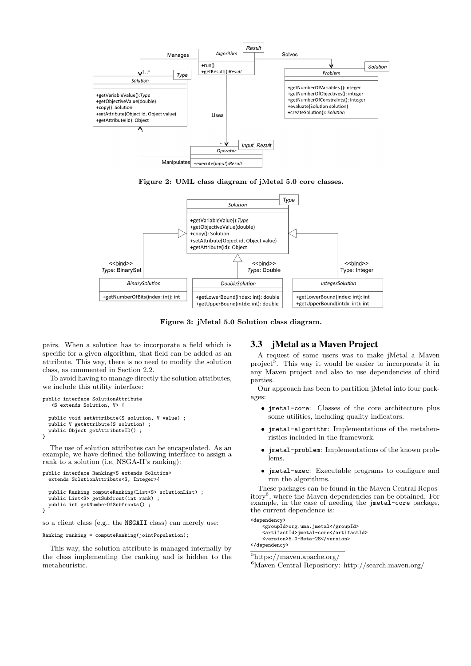





Figure 3: jMetal 5.0 Solution class diagram.

pairs. When a solution has to incorporate a field which is specific for a given algorithm, that field can be added as an attribute. This way, there is no need to modify the solution class, as commented in Section 2.2.

To avoid having to manage directly the solution attributes, we include this utility interface:

```
public interface SolutionAttribute
   <S extends Solution, V> {
  public void setAttribute(S solution, V value) ;
 public V getAttribute(S solution) ;
 public Object getAttributeID() ;
}
```
The use of solution attributes can be encapsulated. As an example, we have defined the following interface to assign a rank to a solution (i.e, NSGA-II's ranking):

```
public interface Ranking<S extends Solution>
  extends SolutionAttribute<S, Integer>{
  public Ranking computeRanking(List<S> solutionList) ;
  public List<S> getSubfront(int rank) ;
public int getNumberOfSubfronts() ;
}
```
so a client class (e.g., the NSGAII class) can merely use:

Ranking ranking = computeRanking(jointPopulation);

This way, the solution attribute is managed internally by the class implementing the ranking and is hidden to the metaheuristic.

#### 3.3 jMetal as a Maven Project

A request of some users was to make jMetal a Maven project<sup>5</sup>. This way it would be easier to incorporate it in any Maven project and also to use dependencies of third parties.

Our approach has been to partition jMetal into four packages:

- jmetal-core: Classes of the core architecture plus some utilities, including quality indicators.
- jmetal-algorithm: Implementations of the metaheuristics included in the framework.
- jmetal-problem: Implementations of the known problems.
- jmetal-exec: Executable programs to configure and run the algorithms.

These packages can be found in the Maven Central Repository<sup>6</sup> , where the Maven dependencies can be obtained. For example, in the case of needing the jmetal-core package, the current dependence is:

```
<dependency>
   <groupId>org.uma.jmetal</groupId>
   <artifactId>jmetal-core</artifactId>
   <version>5.0-Beta-28</version>
</dependency>
```
 ${\rm ^5}$ https://maven.apache.org/

 $^6$ Maven Central Repository: http://search.maven.org/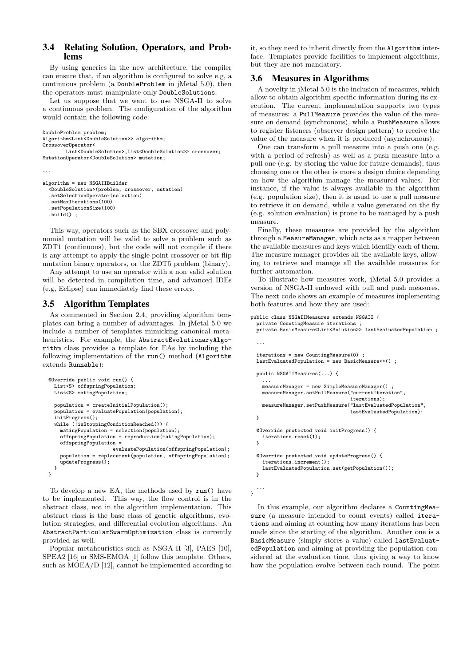## 3.4 Relating Solution, Operators, and Problems

By using generics in the new architecture, the compiler can ensure that, if an algorithm is configured to solve e.g, a continuous problem (a DoubleProblem in jMetal 5.0), then the operators must manipulate only DoubleSolutions.

Let us suppose that we want to use NSGA-II to solve a continuous problem. The configuration of the algorithm would contain the following code:

```
DoubleProblem problem;
Algorithm<List<DoubleSolution>> algorithm;
CrossoverOperator<
       List<DoubleSolution>,List<DoubleSolution>> crossover;
MutationOperator<DoubleSolution> mutation;
...
```

```
algorithm = new NSGAIIBuilder
  <DoubleSolution>(problem, crossover, mutation)
  .setSelectionOperator(selection)
  .setMaxIterations(100)
  .setPopulationSize(100)
  .build() ;
```
This way, operators such as the SBX crossover and polynomial mutation will be valid to solve a problem such as ZDT1 (continuous), but the code will not compile if there is any attempt to apply the single point crossover or bit-flip mutation binary operators, or the ZDT5 problem (binary).

Any attempt to use an operator with a non valid solution will be detected in compilation time, and advanced IDEs (e.g, Eclipse) can immediately find these errors.

# 3.5 Algorithm Templates

As commented in Section 2.4, providing algorithm templates can bring a number of advantages. In jMetal 5.0 we include a number of templates mimicking canonical metaheuristics. For example, the AbstractEvolutionaryAlgorithm class provides a template for EAs by including the following implementation of the run() method (Algorithm extends Runnable):

```
@Override public void run() {
  List<S> offspringPopulation;
  List<S> matingPopulation;
  population = createInitialPopulation();
  population = evaluatePopulation(population);
  ...<br>initProgress();
  while (!isStoppingConditionReached()) {
    matingPopulation = selection(population);
    offspringPopulation = reproduction(matingPopulation);
    offspringPopulation =
                      evaluatePopulation(offspringPopulation);
    population = replacement(population, offspringPopulation);
    updateProgress();
 }
}
```
To develop a new EA, the methods used by run() have to be implemented. This way, the flow control is in the abstract class, not in the algorithm implementation. This abstract class is the base class of genetic algorithms, evolution strategies, and differential evolution algorithms. An AbstractParticularSwarmOptimization class is currently provided as well.

Popular metaheuristics such as NSGA-II [3], PAES [10], SPEA2 [16] or SMS-EMOA [1] follow this template. Others, such as MOEA/D [12], cannot be implemented according to it, so they need to inherit directly from the Algorithm interface. Templates provide facilities to implement algorithms, but they are not mandatory.

# 3.6 Measures in Algorithms

A novelty in jMetal 5.0 is the inclusion of measures, which allow to obtain algorithm-specific information during its execution. The current implementation supports two types of measures: a PullMeasure provides the value of the measure on demand (synchronous), while a PushMeasure allows to register listeners (observer design pattern) to receive the value of the measure when it is produced (asynchronous).

One can transform a pull measure into a push one (e.g. with a period of refresh) as well as a push measure into a pull one (e.g. by storing the value for future demands), thus choosing one or the other is more a design choice depending on how the algorithm manage the measured values. For instance, if the value is always available in the algorithm (e.g. population size), then it is usual to use a pull measure to retrieve it on demand, while a value generated on the fly (e.g. solution evaluation) is prone to be managed by a push measure.

Finally, these measures are provided by the algorithm through a MeasureManager, which acts as a mapper between the available measures and keys which identify each of them. The measure manager provides all the available keys, allowing to retrieve and manage all the available measures for further automation.

To illustrate how measures work, jMetal 5.0 provides a version of NSGA-II endowed with pull and push measures. The next code shows an example of measures implementing both features and how they are used:

public class NSGAIIMeasures extends NSGAII {

```
private CountingMeasure iterations ;
  private BasicMeasure<List<Solution>> lastEvaluatedPopulation ;
  ...
  iterations = new CountingMeasure(0) ;
  lastEvaluatedPopulation = new BasicMeasure<>() ;
  public NSGAIIMeasures(...) {
    ...
measureManager = new SimpleMeasureManager() ;
    measureManager.setPullMeasure("currentIteration",
                                    iterations);
    measureManager.setPushMeasure("lastEvaluatedPopulation",
                                    lastEvaluatedPopulation);
  }
  @Override protected void initProgress() {
    iterations.reset(1);
  \overline{1}@Override protected void updateProgress() {
    iterations.increment();
    lastEvaluatedPopulation.set(getPopulation());
  \mathbf{r}...
}
```
In this example, our algorithm declares a CountingMeasure (a measure intended to count events) called iterations and aiming at counting how many iterations has been made since the starting of the algorithm. Another one is a BasicMeasure (simply stores a value) called lastEvaluatedPopulation and aiming at providing the population considered at the evaluation time, thus giving a way to know how the population evolve between each round. The point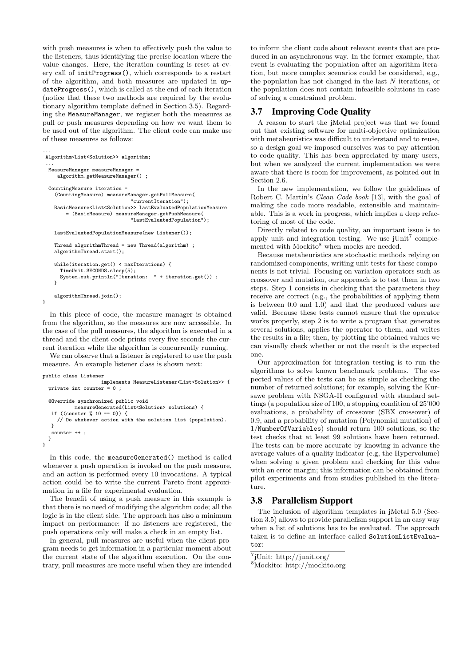with push measures is when to effectively push the value to the listeners, thus identifying the precise location where the value changes. Here, the iteration counting is reset at every call of initProgress(), which corresponds to a restart of the algorithm, and both measures are updated in updateProgress(), which is called at the end of each iteration (notice that these two methods are required by the evolutionary algorithm template defined in Section 3.5). Regarding the MeasureManager, we register both the measures as pull or push measures depending on how we want them to be used out of the algorithm. The client code can make use of these measures as follows:

```
...
Algorithm<List<Solution>> algorithm;
 ...
 MeasureManager measureManager =
    algorithm.getMeasureManager() ;
  CountingMeasure iteration =
    (CountingMeasure) measureManager.getPullMeasure(
                              "currentIteration");
   BasicMeasure<List<Solution>> lastEvaluatedPopulationMeasure
        = (BasicMeasure) measureManager.getPushMeasure(
                              "lastEvaluatedPopulation");
   lastEvaluatedPopulationMeasure(new Listener());
   Thread algorithmThread = new Thread(algorithm) ;
   algorithmThread.start();
    while(iteration.get() < maxIterations) {
      TimeUnit.SECONDS.sleep(5);
      System.out.println("Iteration: " + iteration.get()) ;
   }
   algorithmThread.join();
}
```
In this piece of code, the measure manager is obtained from the algorithm, so the measures are now accessible. In the case of the pull measures, the algorithm is executed in a thread and the client code prints every five seconds the current iteration while the algorithm is concurrently running.

We can observe that a listener is registered to use the push measure. An example listener class is shown next:

#### public class Listener

```
implements MeasureListener<List<Solution>> {
 private int counter = 0 ;
  @Override synchronized public void
           measureGenerated(List<Solution> solutions) {
   if ((counter % 10 == 0)) {
     // Do whatever action with the solution list (population).
   }
   counter ++ ;
 }
}
```
In this code, the measureGenerated() method is called whenever a push operation is invoked on the push measure, and an action is performed every 10 invocations. A typical action could be to write the current Pareto front approximation in a file for experimental evaluation.

The benefit of using a push measure in this example is that there is no need of modifying the algorithm code; all the logic is in the client side. The approach has also a minimum impact on performance: if no listeners are registered, the push operations only will make a check in an empty list.

In general, pull measures are useful when the client program needs to get information in a particular moment about the current state of the algorithm execution. On the contrary, pull measures are more useful when they are intended

to inform the client code about relevant events that are produced in an asynchronous way. In the former example, that event is evaluating the population after an algorithm iteration, but more complex scenarios could be considered, e.g., the population has not changed in the last N iterations, or the population does not contain infeasible solutions in case of solving a constrained problem.

#### 3.7 Improving Code Quality

A reason to start the jMetal project was that we found out that existing software for multi-objective optimization with metaheuristics was difficult to understand and to reuse, so a design goal we imposed ourselves was to pay attention to code quality. This has been appreciated by many users, but when we analyzed the current implementation we were aware that there is room for improvement, as pointed out in Section 2.6.

In the new implementation, we follow the guidelines of Robert C. Martin's Clean Code book [13], with the goal of making the code more readable, extensible and maintainable. This is a work in progress, which implies a deep refactoring of most of the code.

Directly related to code quality, an important issue is to apply unit and integration testing. We use  $jUnit^7$  complemented with Mockito<sup>8</sup> when mocks are needed.

Because metaheuristics are stochastic methods relying on randomized components, writing unit tests for these components is not trivial. Focusing on variation operators such as crossover and mutation, our approach is to test them in two steps. Step 1 consists in checking that the parameters they receive are correct (e.g., the probabilities of applying them is between 0.0 and 1.0) and that the produced values are valid. Because these tests cannot ensure that the operator works properly, step 2 is to write a program that generates several solutions, applies the operator to them, and writes the results in a file; then, by plotting the obtained values we can visually check whether or not the result is the expected one.

Our approximation for integration testing is to run the algorithms to solve known benchmark problems. The expected values of the tests can be as simple as checking the number of returned solutions; for example, solving the Kursawe problem with NSGA-II configured with standard settings (a population size of 100, a stopping condition of 25'000 evaluations, a probability of crossover (SBX crossover) of 0.9, and a probability of mutation (Polynomial mutation) of 1/NumberOfVariables) should return 100 solutions, so the test checks that at least 99 solutions have been returned. The tests can be more accurate by knowing in advance the average values of a quality indicator (e.g, the Hypervolume) when solving a given problem and checking for this value with an error margin; this information can be obtained from pilot experiments and from studies published in the literature.

#### 3.8 Parallelism Support

The inclusion of algorithm templates in jMetal 5.0 (Section 3.5) allows to provide parallelism support in an easy way when a list of solutions has to be evaluated. The approach taken is to define an interface called SolutionListEvaluator:

7 jUnit: http://junit.org/

<sup>8</sup>Mockito: http://mockito.org